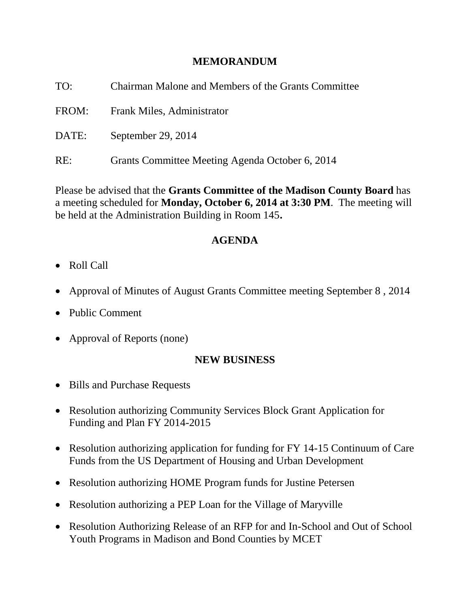# **MEMORANDUM**

| TO:   | Chairman Malone and Members of the Grants Committee |
|-------|-----------------------------------------------------|
| FROM: | Frank Miles, Administrator                          |
| DATE: | September 29, 2014                                  |
| RE:   | Grants Committee Meeting Agenda October 6, 2014     |

Please be advised that the **Grants Committee of the Madison County Board** has a meeting scheduled for **Monday, October 6, 2014 at 3:30 PM**. The meeting will be held at the Administration Building in Room 145**.** 

# **AGENDA**

- Roll Call
- Approval of Minutes of August Grants Committee meeting September 8, 2014
- Public Comment
- Approval of Reports (none)

# **NEW BUSINESS**

- Bills and Purchase Requests
- Resolution authorizing Community Services Block Grant Application for Funding and Plan FY 2014-2015
- Resolution authorizing application for funding for FY 14-15 Continuum of Care Funds from the US Department of Housing and Urban Development
- Resolution authorizing HOME Program funds for Justine Petersen
- Resolution authorizing a PEP Loan for the Village of Maryville
- Resolution Authorizing Release of an RFP for and In-School and Out of School Youth Programs in Madison and Bond Counties by MCET